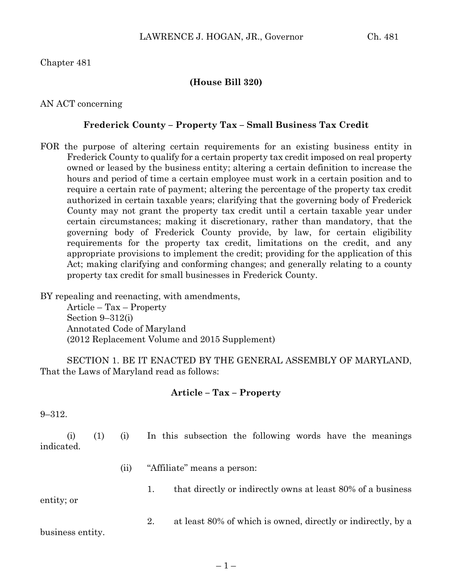Chapter 481

### **(House Bill 320)**

AN ACT concerning

#### **Frederick County – Property Tax – Small Business Tax Credit**

FOR the purpose of altering certain requirements for an existing business entity in Frederick County to qualify for a certain property tax credit imposed on real property owned or leased by the business entity; altering a certain definition to increase the hours and period of time a certain employee must work in a certain position and to require a certain rate of payment; altering the percentage of the property tax credit authorized in certain taxable years; clarifying that the governing body of Frederick County may not grant the property tax credit until a certain taxable year under certain circumstances; making it discretionary, rather than mandatory, that the governing body of Frederick County provide, by law, for certain eligibility requirements for the property tax credit, limitations on the credit, and any appropriate provisions to implement the credit; providing for the application of this Act; making clarifying and conforming changes; and generally relating to a county property tax credit for small businesses in Frederick County.

BY repealing and reenacting, with amendments, Article – Tax – Property Section 9–312(i) Annotated Code of Maryland (2012 Replacement Volume and 2015 Supplement)

SECTION 1. BE IT ENACTED BY THE GENERAL ASSEMBLY OF MARYLAND, That the Laws of Maryland read as follows:

#### **Article – Tax – Property**

9–312.

(i) (1) (i) In this subsection the following words have the meanings indicated.

- (ii) "Affiliate" means a person:
	- 1. that directly or indirectly owns at least 80% of a business

entity; or

2. at least 80% of which is owned, directly or indirectly, by a

business entity.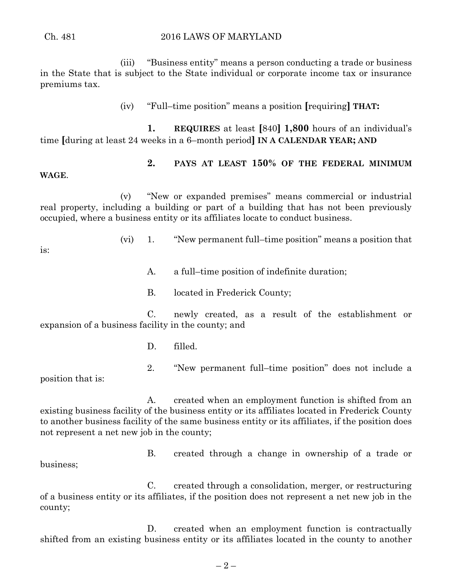(iii) "Business entity" means a person conducting a trade or business in the State that is subject to the State individual or corporate income tax or insurance premiums tax.

(iv) "Full–time position" means a position **[**requiring**] THAT:**

**1. REQUIRES** at least **[**840**] 1,800** hours of an individual's time **[**during at least 24 weeks in a 6–month period**] IN A CALENDAR YEAR; AND**

## **2. PAYS AT LEAST 150% OF THE FEDERAL MINIMUM**

**WAGE**.

(v) "New or expanded premises" means commercial or industrial real property, including a building or part of a building that has not been previously occupied, where a business entity or its affiliates locate to conduct business.

(vi) 1. "New permanent full–time position" means a position that

2. "New permanent full–time position" does not include a

B. created through a change in ownership of a trade or

is:

- A. a full–time position of indefinite duration;
- B. located in Frederick County;

C. newly created, as a result of the establishment or expansion of a business facility in the county; and

- D. filled.
- position that is:

A. created when an employment function is shifted from an existing business facility of the business entity or its affiliates located in Frederick County to another business facility of the same business entity or its affiliates, if the position does not represent a net new job in the county;

business;

county;

C. created through a consolidation, merger, or restructuring of a business entity or its affiliates, if the position does not represent a net new job in the

D. created when an employment function is contractually shifted from an existing business entity or its affiliates located in the county to another

Ch. 481 2016 LAWS OF MARYLAND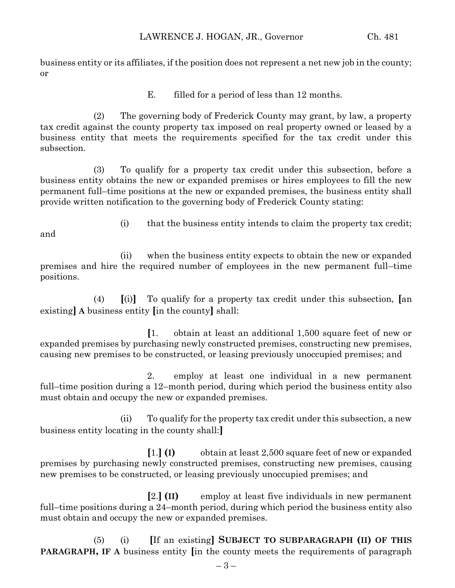business entity or its affiliates, if the position does not represent a net new job in the county; or

E. filled for a period of less than 12 months.

(2) The governing body of Frederick County may grant, by law, a property tax credit against the county property tax imposed on real property owned or leased by a business entity that meets the requirements specified for the tax credit under this subsection.

(3) To qualify for a property tax credit under this subsection, before a business entity obtains the new or expanded premises or hires employees to fill the new permanent full–time positions at the new or expanded premises, the business entity shall provide written notification to the governing body of Frederick County stating:

and

(i) that the business entity intends to claim the property tax credit;

(ii) when the business entity expects to obtain the new or expanded premises and hire the required number of employees in the new permanent full–time positions.

(4) **[**(i)**]** To qualify for a property tax credit under this subsection, **[**an existing**] A** business entity **[**in the county**]** shall:

**[**1. obtain at least an additional 1,500 square feet of new or expanded premises by purchasing newly constructed premises, constructing new premises, causing new premises to be constructed, or leasing previously unoccupied premises; and

2. employ at least one individual in a new permanent full–time position during a 12–month period, during which period the business entity also must obtain and occupy the new or expanded premises.

(ii) To qualify for the property tax credit under this subsection, a new business entity locating in the county shall:**]**

**[**1.**] (I)** obtain at least 2,500 square feet of new or expanded premises by purchasing newly constructed premises, constructing new premises, causing new premises to be constructed, or leasing previously unoccupied premises; and

**[**2.**] (II)** employ at least five individuals in new permanent full–time positions during a 24–month period, during which period the business entity also must obtain and occupy the new or expanded premises.

(5) (i) **[**If an existing**] SUBJECT TO SUBPARAGRAPH (II) OF THIS PARAGRAPH, IF A** business entity **[**in the county meets the requirements of paragraph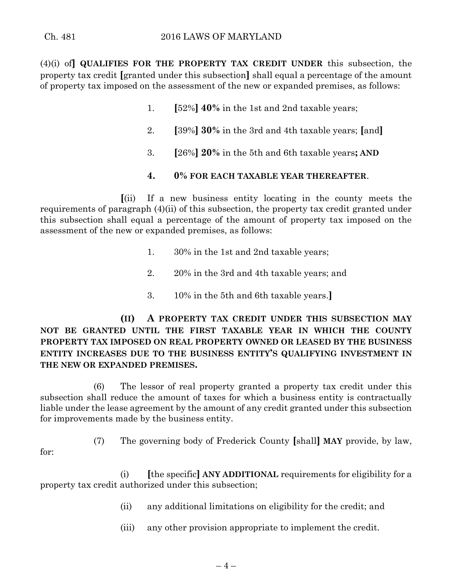(4)(i) of**] QUALIFIES FOR THE PROPERTY TAX CREDIT UNDER** this subsection, the property tax credit **[**granted under this subsection**]** shall equal a percentage of the amount of property tax imposed on the assessment of the new or expanded premises, as follows:

- 1. **[**52%**] 40%** in the 1st and 2nd taxable years;
- 2. **[**39%**] 30%** in the 3rd and 4th taxable years; **[**and**]**
- 3. **[**26%**] 20%** in the 5th and 6th taxable years**; AND**

### **4. 0% FOR EACH TAXABLE YEAR THEREAFTER**.

**[**(ii) If a new business entity locating in the county meets the requirements of paragraph (4)(ii) of this subsection, the property tax credit granted under this subsection shall equal a percentage of the amount of property tax imposed on the assessment of the new or expanded premises, as follows:

- 1. 30% in the 1st and 2nd taxable years;
- 2. 20% in the 3rd and 4th taxable years; and
- 3. 10% in the 5th and 6th taxable years.**]**

**(II) A PROPERTY TAX CREDIT UNDER THIS SUBSECTION MAY NOT BE GRANTED UNTIL THE FIRST TAXABLE YEAR IN WHICH THE COUNTY PROPERTY TAX IMPOSED ON REAL PROPERTY OWNED OR LEASED BY THE BUSINESS ENTITY INCREASES DUE TO THE BUSINESS ENTITY'S QUALIFYING INVESTMENT IN THE NEW OR EXPANDED PREMISES.**

(6) The lessor of real property granted a property tax credit under this subsection shall reduce the amount of taxes for which a business entity is contractually liable under the lease agreement by the amount of any credit granted under this subsection for improvements made by the business entity.

- for:
- (7) The governing body of Frederick County **[**shall**] MAY** provide, by law,

(i) **[**the specific**] ANY ADDITIONAL** requirements for eligibility for a property tax credit authorized under this subsection;

- (ii) any additional limitations on eligibility for the credit; and
- (iii) any other provision appropriate to implement the credit.